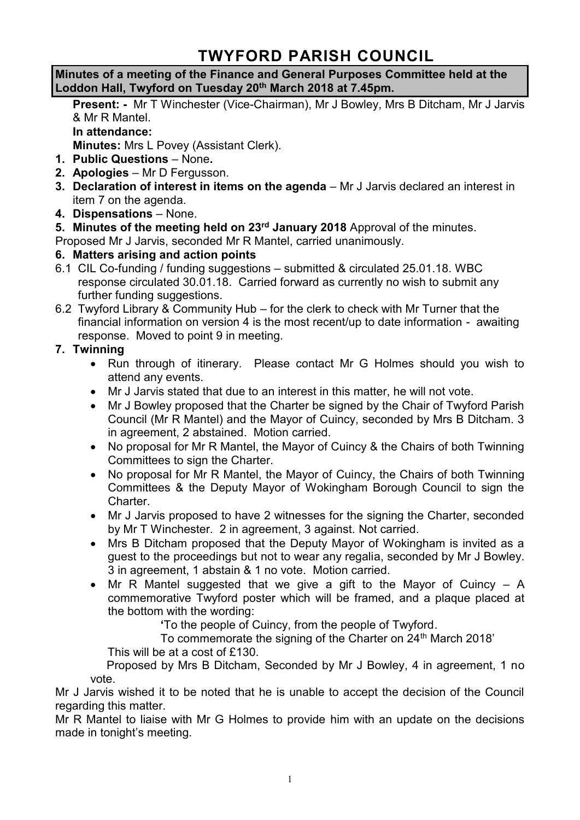# **TWYFORD PARISH COUNCIL**

**Minutes of a meeting of the Finance and General Purposes Committee held at the Loddon Hall, Twyford on Tuesday 20th March 2018 at 7.45pm.**

**Present: -** Mr T Winchester (Vice-Chairman), Mr J Bowley, Mrs B Ditcham, Mr J Jarvis & Mr R Mantel. **In attendance:**

**Minutes:** Mrs L Povey (Assistant Clerk).

- **1. Public Questions** None**.**
- **2. Apologies** Mr D Fergusson.
- **3. Declaration of interest in items on the agenda**  Mr J Jarvis declared an interest in item 7 on the agenda.
- **4. Dispensations**  None.
- **5. Minutes of the meeting held on 23rd January 2018** Approval of the minutes.

Proposed Mr J Jarvis, seconded Mr R Mantel, carried unanimously.

## **6. Matters arising and action points**

- 6.1 CIL Co-funding / funding suggestions submitted & circulated 25.01.18. WBC response circulated 30.01.18. Carried forward as currently no wish to submit any further funding suggestions.
- 6.2 Twyford Library & Community Hub for the clerk to check with Mr Turner that the financial information on version 4 is the most recent/up to date information - awaiting response. Moved to point 9 in meeting.

# **7. Twinning**

- Run through of itinerary. Please contact Mr G Holmes should you wish to attend any events.
- Mr J Jarvis stated that due to an interest in this matter, he will not vote.
- Mr J Bowley proposed that the Charter be signed by the Chair of Twyford Parish Council (Mr R Mantel) and the Mayor of Cuincy, seconded by Mrs B Ditcham. 3 in agreement, 2 abstained. Motion carried.
- No proposal for Mr R Mantel, the Mayor of Cuincy & the Chairs of both Twinning Committees to sign the Charter.
- No proposal for Mr R Mantel, the Mayor of Cuincy, the Chairs of both Twinning Committees & the Deputy Mayor of Wokingham Borough Council to sign the Charter.
- Mr J Jarvis proposed to have 2 witnesses for the signing the Charter, seconded by Mr T Winchester. 2 in agreement, 3 against. Not carried.
- Mrs B Ditcham proposed that the Deputy Mayor of Wokingham is invited as a guest to the proceedings but not to wear any regalia, seconded by Mr J Bowley. 3 in agreement, 1 abstain & 1 no vote. Motion carried.
- Mr R Mantel suggested that we give a gift to the Mayor of Cuincy A commemorative Twyford poster which will be framed, and a plaque placed at the bottom with the wording:

**'**To the people of Cuincy, from the people of Twyford.

To commemorate the signing of the Charter on 24<sup>th</sup> March 2018'

This will be at a cost of £130.

 Proposed by Mrs B Ditcham, Seconded by Mr J Bowley, 4 in agreement, 1 no vote.

Mr J Jarvis wished it to be noted that he is unable to accept the decision of the Council regarding this matter.

Mr R Mantel to liaise with Mr G Holmes to provide him with an update on the decisions made in tonight's meeting.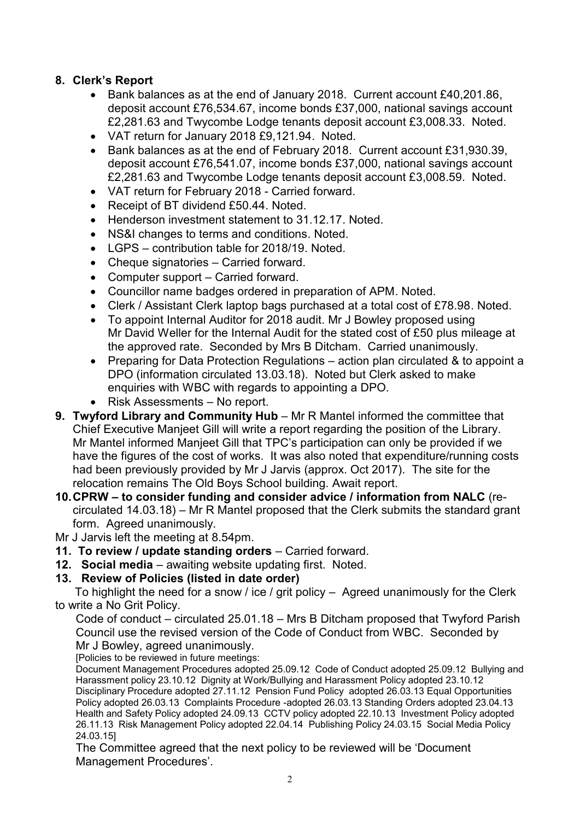## **8. Clerk's Report**

- Bank balances as at the end of January 2018. Current account £40,201.86, deposit account £76,534.67, income bonds £37,000, national savings account £2,281.63 and Twycombe Lodge tenants deposit account £3,008.33. Noted.
- VAT return for January 2018 £9,121.94. Noted.
- Bank balances as at the end of February 2018. Current account £31,930.39, deposit account £76,541.07, income bonds £37,000, national savings account £2,281.63 and Twycombe Lodge tenants deposit account £3,008.59. Noted.
- VAT return for February 2018 Carried forward.
- Receipt of BT dividend £50.44. Noted.
- Henderson investment statement to 31.12.17. Noted.
- NS&I changes to terms and conditions. Noted.
- LGPS contribution table for 2018/19. Noted.
- Cheque signatories Carried forward.
- Computer support Carried forward.
- Councillor name badges ordered in preparation of APM. Noted.
- Clerk / Assistant Clerk laptop bags purchased at a total cost of £78.98. Noted.
- To appoint Internal Auditor for 2018 audit. Mr J Bowley proposed using Mr David Weller for the Internal Audit for the stated cost of £50 plus mileage at the approved rate. Seconded by Mrs B Ditcham. Carried unanimously.
- Preparing for Data Protection Regulations action plan circulated & to appoint a DPO (information circulated 13.03.18). Noted but Clerk asked to make enquiries with WBC with regards to appointing a DPO.
- Risk Assessments No report.
- **9. Twyford Library and Community Hub** Mr R Mantel informed the committee that Chief Executive Manjeet Gill will write a report regarding the position of the Library. Mr Mantel informed Manjeet Gill that TPC's participation can only be provided if we have the figures of the cost of works. It was also noted that expenditure/running costs had been previously provided by Mr J Jarvis (approx. Oct 2017). The site for the relocation remains The Old Boys School building. Await report.
- **10.CPRW – to consider funding and consider advice / information from NALC** (recirculated 14.03.18) – Mr R Mantel proposed that the Clerk submits the standard grant form. Agreed unanimously.
- Mr J Jarvis left the meeting at 8.54pm.
- **11. To review / update standing orders** Carried forward.
- **12. Social media**  awaiting website updating first. Noted.

### **13. Review of Policies (listed in date order)**

To highlight the need for a snow / ice / grit policy – Agreed unanimously for the Clerk to write a No Grit Policy.

Code of conduct – circulated 25.01.18 – Mrs B Ditcham proposed that Twyford Parish Council use the revised version of the Code of Conduct from WBC. Seconded by

Mr J Bowley, agreed unanimously. [Policies to be reviewed in future meetings:

Document Management Procedures adopted 25.09.12 Code of Conduct adopted 25.09.12 Bullying and Harassment policy 23.10.12 Dignity at Work/Bullying and Harassment Policy adopted 23.10.12 Disciplinary Procedure adopted 27.11.12 Pension Fund Policy adopted 26.03.13 Equal Opportunities Policy adopted 26.03.13 Complaints Procedure -adopted 26.03.13 Standing Orders adopted 23.04.13 Health and Safety Policy adopted 24.09.13 CCTV policy adopted 22.10.13 Investment Policy adopted 26.11.13 Risk Management Policy adopted 22.04.14 Publishing Policy 24.03.15 Social Media Policy 24.03.15]

The Committee agreed that the next policy to be reviewed will be 'Document Management Procedures'.